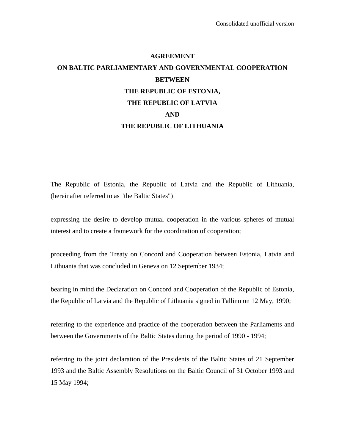# **AGREEMENT ON BALTIC PARLIAMENTARY AND GOVERNMENTAL COOPERATION BETWEEN THE REPUBLIC OF ESTONIA, THE REPUBLIC OF LATVIA AND THE REPUBLIC OF LITHUANIA**

The Republic of Estonia, the Republic of Latvia and the Republic of Lithuania, (hereinafter referred to as "the Baltic States")

expressing the desire to develop mutual cooperation in the various spheres of mutual interest and to create a framework for the coordination of cooperation;

proceeding from the Treaty on Concord and Cooperation between Estonia, Latvia and Lithuania that was concluded in Geneva on 12 September 1934;

bearing in mind the Declaration on Concord and Cooperation of the Republic of Estonia, the Republic of Latvia and the Republic of Lithuania signed in Tallinn on 12 May, 1990;

referring to the experience and practice of the cooperation between the Parliaments and between the Governments of the Baltic States during the period of 1990 - 1994;

referring to the joint declaration of the Presidents of the Baltic States of 21 September 1993 and the Baltic Assembly Resolutions on the Baltic Council of 31 October 1993 and 15 May 1994;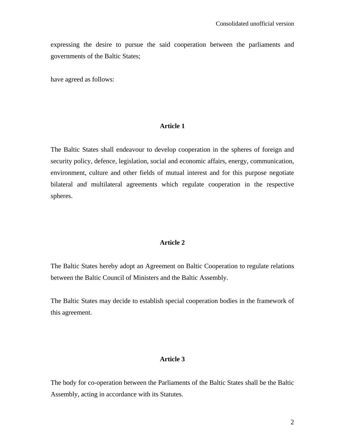expressing the desire to pursue the said cooperation between the parliaments and governments of the Baltic States;

have agreed as follows:

#### **Article 1**

The Baltic States shall endeavour to develop cooperation in the spheres of foreign and security policy, defence, legislation, social and economic affairs, energy, communication, environment, culture and other fields of mutual interest and for this purpose negotiate bilateral and multilateral agreements which regulate cooperation in the respective spheres.

# **Article 2**

The Baltic States hereby adopt an Agreement on Baltic Cooperation to regulate relations between the Baltic Council of Ministers and the Baltic Assembly.

The Baltic States may decide to establish special cooperation bodies in the framework of this agreement.

### **Article 3**

The body for co-operation between the Parliaments of the Baltic States shall be the Baltic Assembly, acting in accordance with its Statutes.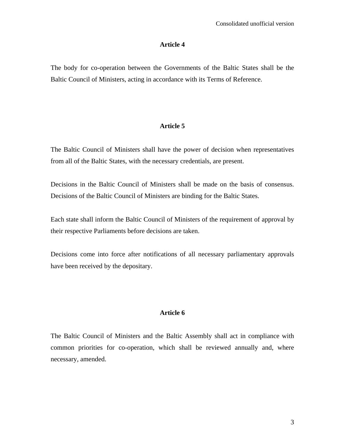### **Article 4**

The body for co-operation between the Governments of the Baltic States shall be the Baltic Council of Ministers, acting in accordance with its Terms of Reference.

# **Article 5**

The Baltic Council of Ministers shall have the power of decision when representatives from all of the Baltic States, with the necessary credentials, are present.

Decisions in the Baltic Council of Ministers shall be made on the basis of consensus. Decisions of the Baltic Council of Ministers are binding for the Baltic States.

Each state shall inform the Baltic Council of Ministers of the requirement of approval by their respective Parliaments before decisions are taken.

Decisions come into force after notifications of all necessary parliamentary approvals have been received by the depositary.

# **Article 6**

The Baltic Council of Ministers and the Baltic Assembly shall act in compliance with common priorities for co-operation, which shall be reviewed annually and, where necessary, amended.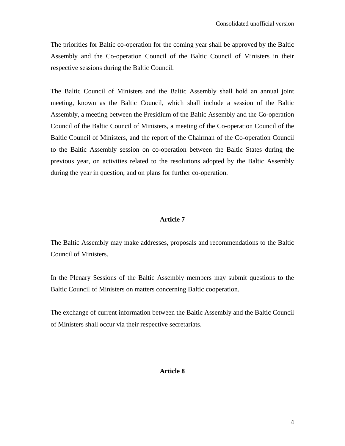The priorities for Baltic co-operation for the coming year shall be approved by the Baltic Assembly and the Co-operation Council of the Baltic Council of Ministers in their respective sessions during the Baltic Council.

The Baltic Council of Ministers and the Baltic Assembly shall hold an annual joint meeting, known as the Baltic Council, which shall include a session of the Baltic Assembly, a meeting between the Presidium of the Baltic Assembly and the Co-operation Council of the Baltic Council of Ministers, a meeting of the Co-operation Council of the Baltic Council of Ministers, and the report of the Chairman of the Co-operation Council to the Baltic Assembly session on co-operation between the Baltic States during the previous year, on activities related to the resolutions adopted by the Baltic Assembly during the year in question, and on plans for further co-operation.

# **Article 7**

The Baltic Assembly may make addresses, proposals and recommendations to the Baltic Council of Ministers.

In the Plenary Sessions of the Baltic Assembly members may submit questions to the Baltic Council of Ministers on matters concerning Baltic cooperation.

The exchange of current information between the Baltic Assembly and the Baltic Council of Ministers shall occur via their respective secretariats.

#### **Article 8**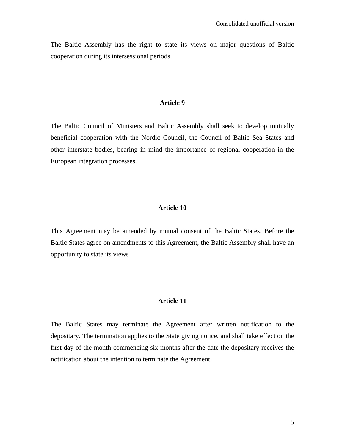The Baltic Assembly has the right to state its views on major questions of Baltic cooperation during its intersessional periods.

#### **Article 9**

The Baltic Council of Ministers and Baltic Assembly shall seek to develop mutually beneficial cooperation with the Nordic Council, the Council of Baltic Sea States and other interstate bodies, bearing in mind the importance of regional cooperation in the European integration processes.

### **Article 10**

This Agreement may be amended by mutual consent of the Baltic States. Before the Baltic States agree on amendments to this Agreement, the Baltic Assembly shall have an opportunity to state its views

# **Article 11**

The Baltic States may terminate the Agreement after written notification to the depositary. The termination applies to the State giving notice, and shall take effect on the first day of the month commencing six months after the date the depositary receives the notification about the intention to terminate the Agreement.